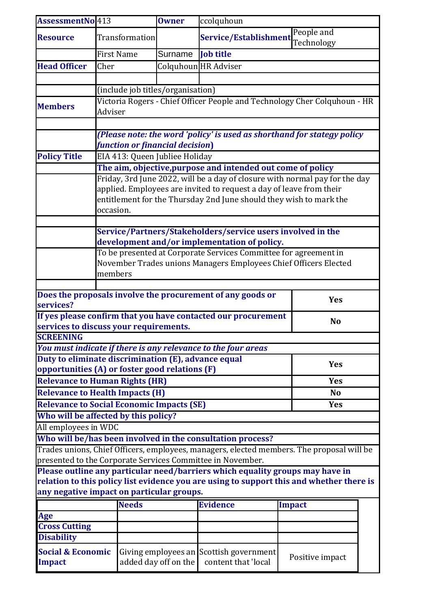| AssessmentNo413                                                                                                                                         |                                                                                                             | <b>Owner</b>                   | ccolquhoun                                               |        |                 |  |  |  |
|---------------------------------------------------------------------------------------------------------------------------------------------------------|-------------------------------------------------------------------------------------------------------------|--------------------------------|----------------------------------------------------------|--------|-----------------|--|--|--|
| <b>Resource</b>                                                                                                                                         | Transformation                                                                                              |                                | People and<br><b>Service/Establishment</b><br>Technology |        |                 |  |  |  |
|                                                                                                                                                         | <b>First Name</b>                                                                                           | Surname                        | <b>Job title</b>                                         |        |                 |  |  |  |
| <b>Head Officer</b>                                                                                                                                     | Cher                                                                                                        |                                | Colquhoun HR Adviser                                     |        |                 |  |  |  |
|                                                                                                                                                         |                                                                                                             |                                |                                                          |        |                 |  |  |  |
|                                                                                                                                                         | (include job titles/organisation)                                                                           |                                |                                                          |        |                 |  |  |  |
|                                                                                                                                                         | Victoria Rogers - Chief Officer People and Technology Cher Colquhoun - HR                                   |                                |                                                          |        |                 |  |  |  |
| <b>Members</b>                                                                                                                                          | Adviser                                                                                                     |                                |                                                          |        |                 |  |  |  |
|                                                                                                                                                         |                                                                                                             |                                |                                                          |        |                 |  |  |  |
|                                                                                                                                                         | (Please note: the word 'policy' is used as shorthand for stategy policy                                     |                                |                                                          |        |                 |  |  |  |
|                                                                                                                                                         | function or financial decision)                                                                             |                                |                                                          |        |                 |  |  |  |
| <b>Policy Title</b>                                                                                                                                     |                                                                                                             | EIA 413: Queen Jubliee Holiday |                                                          |        |                 |  |  |  |
|                                                                                                                                                         | The aim, objective, purpose and intended out come of policy                                                 |                                |                                                          |        |                 |  |  |  |
|                                                                                                                                                         | Friday, 3rd June 2022, will be a day of closure with normal pay for the day                                 |                                |                                                          |        |                 |  |  |  |
|                                                                                                                                                         | applied. Employees are invited to request a day of leave from their                                         |                                |                                                          |        |                 |  |  |  |
|                                                                                                                                                         | entitlement for the Thursday 2nd June should they wish to mark the<br>occasion.                             |                                |                                                          |        |                 |  |  |  |
|                                                                                                                                                         |                                                                                                             |                                |                                                          |        |                 |  |  |  |
|                                                                                                                                                         | Service/Partners/Stakeholders/service users involved in the<br>development and/or implementation of policy. |                                |                                                          |        |                 |  |  |  |
|                                                                                                                                                         | To be presented at Corporate Services Committee for agreement in                                            |                                |                                                          |        |                 |  |  |  |
|                                                                                                                                                         | November Trades unions Managers Employees Chief Officers Elected                                            |                                |                                                          |        |                 |  |  |  |
|                                                                                                                                                         | members                                                                                                     |                                |                                                          |        |                 |  |  |  |
|                                                                                                                                                         |                                                                                                             |                                |                                                          |        |                 |  |  |  |
| Does the proposals involve the procurement of any goods or<br><b>Yes</b>                                                                                |                                                                                                             |                                |                                                          |        |                 |  |  |  |
| services?                                                                                                                                               |                                                                                                             |                                |                                                          |        |                 |  |  |  |
| If yes please confirm that you have contacted our procurement<br><b>No</b><br>services to discuss your requirements.                                    |                                                                                                             |                                |                                                          |        |                 |  |  |  |
| <b>SCREENING</b>                                                                                                                                        |                                                                                                             |                                |                                                          |        |                 |  |  |  |
| You must indicate if there is any relevance to the four areas                                                                                           |                                                                                                             |                                |                                                          |        |                 |  |  |  |
|                                                                                                                                                         | Duty to eliminate discrimination (E), advance equal                                                         |                                |                                                          |        |                 |  |  |  |
| opportunities (A) or foster good relations (F)                                                                                                          | <b>Yes</b>                                                                                                  |                                |                                                          |        |                 |  |  |  |
| <b>Relevance to Human Rights (HR)</b>                                                                                                                   | <b>Yes</b>                                                                                                  |                                |                                                          |        |                 |  |  |  |
| <b>Relevance to Health Impacts (H)</b>                                                                                                                  |                                                                                                             | <b>No</b>                      |                                                          |        |                 |  |  |  |
|                                                                                                                                                         |                                                                                                             | <b>Yes</b>                     |                                                          |        |                 |  |  |  |
| <b>Relevance to Social Economic Impacts (SE)</b><br>Who will be affected by this policy?                                                                |                                                                                                             |                                |                                                          |        |                 |  |  |  |
| All employees in WDC                                                                                                                                    |                                                                                                             |                                |                                                          |        |                 |  |  |  |
|                                                                                                                                                         |                                                                                                             |                                |                                                          |        |                 |  |  |  |
| Who will be/has been involved in the consultation process?                                                                                              |                                                                                                             |                                |                                                          |        |                 |  |  |  |
| Trades unions, Chief Officers, employees, managers, elected members. The proposal will be<br>presented to the Corporate Services Committee in November. |                                                                                                             |                                |                                                          |        |                 |  |  |  |
| Please outline any particular need/barriers which equality groups may have in                                                                           |                                                                                                             |                                |                                                          |        |                 |  |  |  |
| relation to this policy list evidence you are using to support this and whether there is                                                                |                                                                                                             |                                |                                                          |        |                 |  |  |  |
| any negative impact on particular groups.                                                                                                               |                                                                                                             |                                |                                                          |        |                 |  |  |  |
|                                                                                                                                                         | <b>Needs</b>                                                                                                |                                | <b>Evidence</b>                                          | Impact |                 |  |  |  |
| Age                                                                                                                                                     |                                                                                                             |                                |                                                          |        |                 |  |  |  |
| <b>Cross Cutting</b>                                                                                                                                    |                                                                                                             |                                |                                                          |        |                 |  |  |  |
| <b>Disability</b>                                                                                                                                       |                                                                                                             |                                |                                                          |        |                 |  |  |  |
| <b>Social &amp; Economic</b>                                                                                                                            |                                                                                                             | Giving employees an            | Scottish government                                      |        | Positive impact |  |  |  |
| Impact                                                                                                                                                  |                                                                                                             | added day off on the           | content that 'local                                      |        |                 |  |  |  |
|                                                                                                                                                         |                                                                                                             |                                |                                                          |        |                 |  |  |  |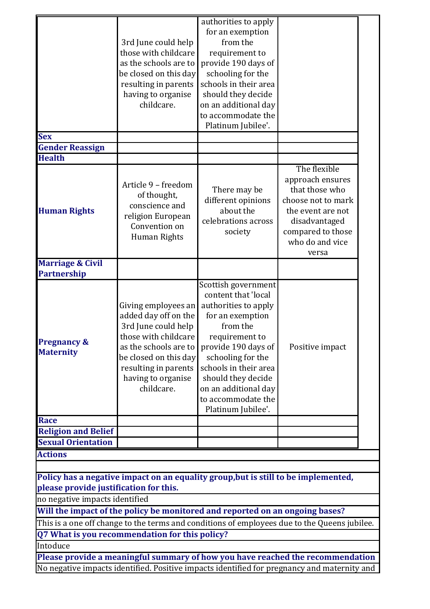| <b>Gender Reassign</b><br><b>Health</b><br>The flexible<br>approach ensures<br>Article 9 - freedom<br>that those who<br>There may be<br>of thought,<br>choose not to mark<br>different opinions<br>conscience and<br>about the<br>the event are not<br>religion European<br>celebrations across<br>disadvantaged<br>Convention on<br>compared to those<br>society<br>Human Rights<br>who do and vice<br>versa<br>Partnership<br>Scottish government<br>content that 'local<br>Giving employees an<br>authorities to apply<br>added day off on the<br>for an exemption<br>from the<br>3rd June could help<br>those with childcare<br>requirement to<br>as the schools are to<br>provide 190 days of<br>Positive impact<br>be closed on this day<br>schooling for the<br>schools in their area<br>resulting in parents<br>should they decide<br>having to organise<br>childcare.<br>on an additional day<br>to accommodate the<br>Platinum Jubilee'.<br>Race<br><b>Religion and Belief</b><br><b>Sexual Orientation</b><br><b>Actions</b><br>Policy has a negative impact on an equality group, but is still to be implemented,<br>please provide justification for this.<br>no negative impacts identified<br>Will the impact of the policy be monitored and reported on an ongoing bases?<br>This is a one off change to the terms and conditions of employees due to the Queens jubilee.<br>Q7 What is you recommendation for this policy?<br>Please provide a meaningful summary of how you have reached the recommendation<br>No negative impacts identified. Positive impacts identified for pregnancy and maternity and |                                            | 3rd June could help<br>those with childcare<br>as the schools are to<br>be closed on this day<br>resulting in parents<br>having to organise<br>childcare. | authorities to apply<br>for an exemption<br>from the<br>requirement to<br>provide 190 days of<br>schooling for the<br>schools in their area<br>should they decide<br>on an additional day<br>to accommodate the<br>Platinum Jubilee'. |  |  |  |  |  |
|------------------------------------------------------------------------------------------------------------------------------------------------------------------------------------------------------------------------------------------------------------------------------------------------------------------------------------------------------------------------------------------------------------------------------------------------------------------------------------------------------------------------------------------------------------------------------------------------------------------------------------------------------------------------------------------------------------------------------------------------------------------------------------------------------------------------------------------------------------------------------------------------------------------------------------------------------------------------------------------------------------------------------------------------------------------------------------------------------------------------------------------------------------------------------------------------------------------------------------------------------------------------------------------------------------------------------------------------------------------------------------------------------------------------------------------------------------------------------------------------------------------------------------------------------------------------------------------------------------------------------|--------------------------------------------|-----------------------------------------------------------------------------------------------------------------------------------------------------------|---------------------------------------------------------------------------------------------------------------------------------------------------------------------------------------------------------------------------------------|--|--|--|--|--|
|                                                                                                                                                                                                                                                                                                                                                                                                                                                                                                                                                                                                                                                                                                                                                                                                                                                                                                                                                                                                                                                                                                                                                                                                                                                                                                                                                                                                                                                                                                                                                                                                                              | <b>Sex</b>                                 |                                                                                                                                                           |                                                                                                                                                                                                                                       |  |  |  |  |  |
|                                                                                                                                                                                                                                                                                                                                                                                                                                                                                                                                                                                                                                                                                                                                                                                                                                                                                                                                                                                                                                                                                                                                                                                                                                                                                                                                                                                                                                                                                                                                                                                                                              |                                            |                                                                                                                                                           |                                                                                                                                                                                                                                       |  |  |  |  |  |
|                                                                                                                                                                                                                                                                                                                                                                                                                                                                                                                                                                                                                                                                                                                                                                                                                                                                                                                                                                                                                                                                                                                                                                                                                                                                                                                                                                                                                                                                                                                                                                                                                              | <b>Human Rights</b>                        |                                                                                                                                                           |                                                                                                                                                                                                                                       |  |  |  |  |  |
|                                                                                                                                                                                                                                                                                                                                                                                                                                                                                                                                                                                                                                                                                                                                                                                                                                                                                                                                                                                                                                                                                                                                                                                                                                                                                                                                                                                                                                                                                                                                                                                                                              | <b>Marriage &amp; Civil</b>                |                                                                                                                                                           |                                                                                                                                                                                                                                       |  |  |  |  |  |
|                                                                                                                                                                                                                                                                                                                                                                                                                                                                                                                                                                                                                                                                                                                                                                                                                                                                                                                                                                                                                                                                                                                                                                                                                                                                                                                                                                                                                                                                                                                                                                                                                              | <b>Pregnancy &amp;</b><br><b>Maternity</b> |                                                                                                                                                           |                                                                                                                                                                                                                                       |  |  |  |  |  |
|                                                                                                                                                                                                                                                                                                                                                                                                                                                                                                                                                                                                                                                                                                                                                                                                                                                                                                                                                                                                                                                                                                                                                                                                                                                                                                                                                                                                                                                                                                                                                                                                                              |                                            |                                                                                                                                                           |                                                                                                                                                                                                                                       |  |  |  |  |  |
|                                                                                                                                                                                                                                                                                                                                                                                                                                                                                                                                                                                                                                                                                                                                                                                                                                                                                                                                                                                                                                                                                                                                                                                                                                                                                                                                                                                                                                                                                                                                                                                                                              |                                            |                                                                                                                                                           |                                                                                                                                                                                                                                       |  |  |  |  |  |
|                                                                                                                                                                                                                                                                                                                                                                                                                                                                                                                                                                                                                                                                                                                                                                                                                                                                                                                                                                                                                                                                                                                                                                                                                                                                                                                                                                                                                                                                                                                                                                                                                              |                                            |                                                                                                                                                           |                                                                                                                                                                                                                                       |  |  |  |  |  |
|                                                                                                                                                                                                                                                                                                                                                                                                                                                                                                                                                                                                                                                                                                                                                                                                                                                                                                                                                                                                                                                                                                                                                                                                                                                                                                                                                                                                                                                                                                                                                                                                                              |                                            |                                                                                                                                                           |                                                                                                                                                                                                                                       |  |  |  |  |  |
|                                                                                                                                                                                                                                                                                                                                                                                                                                                                                                                                                                                                                                                                                                                                                                                                                                                                                                                                                                                                                                                                                                                                                                                                                                                                                                                                                                                                                                                                                                                                                                                                                              | Intoduce                                   |                                                                                                                                                           |                                                                                                                                                                                                                                       |  |  |  |  |  |
|                                                                                                                                                                                                                                                                                                                                                                                                                                                                                                                                                                                                                                                                                                                                                                                                                                                                                                                                                                                                                                                                                                                                                                                                                                                                                                                                                                                                                                                                                                                                                                                                                              |                                            |                                                                                                                                                           |                                                                                                                                                                                                                                       |  |  |  |  |  |